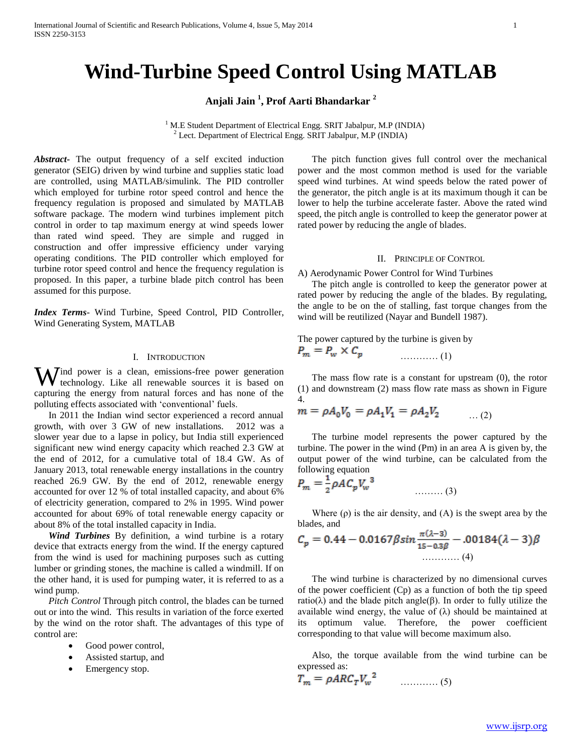# **Wind-Turbine Speed Control Using MATLAB**

**Anjali Jain <sup>1</sup> , Prof Aarti Bhandarkar <sup>2</sup>**

<sup>1</sup> M.E Student Department of Electrical Engg. SRIT Jabalpur, M.P (INDIA) <sup>2</sup> Lect. Department of Electrical Engg. SRIT Jabalpur, M.P (INDIA)

*Abstract***-** The output frequency of a self excited induction generator (SEIG) driven by wind turbine and supplies static load are controlled, using MATLAB/simulink. The PID controller which employed for turbine rotor speed control and hence the frequency regulation is proposed and simulated by MATLAB software package. The modern wind turbines implement pitch control in order to tap maximum energy at wind speeds lower than rated wind speed. They are simple and rugged in construction and offer impressive efficiency under varying operating conditions. The PID controller which employed for turbine rotor speed control and hence the frequency regulation is proposed. In this paper, a turbine blade pitch control has been assumed for this purpose.

*Index Terms*- Wind Turbine, Speed Control, PID Controller, Wind Generating System, MATLAB

## I. INTRODUCTION

Wind power is a clean, emissions-free power generation<br>technology. Like all renewable sources it is based on technology. Like all renewable sources it is based on capturing the energy from natural forces and has none of the polluting effects associated with 'conventional' fuels.

 In 2011 the Indian wind sector experienced a record annual growth, with over 3 GW of new installations. 2012 was a slower year due to a lapse in policy, but India still experienced significant new wind energy capacity which reached 2.3 GW at the end of 2012, for a cumulative total of 18.4 GW. As of January 2013, total renewable energy installations in the country reached 26.9 GW. By the end of 2012, renewable energy accounted for over 12 % of total installed capacity, and about 6% of electricity generation, compared to 2% in 1995. Wind power accounted for about 69% of total renewable energy capacity or about 8% of the total installed capacity in India.

 *Wind Turbines* By definition, a wind turbine is a rotary device that extracts energy from the wind. If the energy captured from the wind is used for machining purposes such as cutting lumber or grinding stones, the machine is called a windmill. If on the other hand, it is used for pumping water, it is referred to as a wind pump.

 *Pitch Control* Through pitch control, the blades can be turned out or into the wind. This results in variation of the force exerted by the wind on the rotor shaft. The advantages of this type of control are:

- Good power control,
- Assisted startup, and
- Emergency stop.

 The pitch function gives full control over the mechanical power and the most common method is used for the variable speed wind turbines. At wind speeds below the rated power of the generator, the pitch angle is at its maximum though it can be lower to help the turbine accelerate faster. Above the rated wind speed, the pitch angle is controlled to keep the generator power at rated power by reducing the angle of blades.

## II. PRINCIPLE OF CONTROL

A) Aerodynamic Power Control for Wind Turbines

 The pitch angle is controlled to keep the generator power at rated power by reducing the angle of the blades. By regulating, the angle to be on the of stalling, fast torque changes from the wind will be reutilized (Nayar and Bundell 1987).

The power captured by the turbine is given by

$$
P_m = P_w \times C_p \tag{1}
$$

 The mass flow rate is a constant for upstream (0), the rotor (1) and downstream (2) mass flow rate mass as shown in Figure 4.

$$
m = \rho A_0 V_0 = \rho A_1 V_1 = \rho A_2 V_2 \qquad \dots (2)
$$

 The turbine model represents the power captured by the turbine. The power in the wind (Pm) in an area A is given by, the output power of the wind turbine, can be calculated from the following equation

$$
P_m = \frac{1}{2} \rho A C_p V_w^3 \tag{3}
$$

Where  $(\rho)$  is the air density, and  $(A)$  is the swept area by the blades, and

$$
C_p = 0.44 - 0.0167 \beta \sin \frac{\pi(\lambda - 3)}{15 - 0.3\beta} - 0.0184 (\lambda - 3)\beta
$$
  
............ (4)

 The wind turbine is characterized by no dimensional curves of the power coefficient (Cp) as a function of both the tip speed ratio( $\lambda$ ) and the blade pitch angle( $\beta$ ). In order to fully utilize the available wind energy, the value of  $(\lambda)$  should be maintained at its optimum value. Therefore, the power coefficient corresponding to that value will become maximum also.

 Also, the torque available from the wind turbine can be expressed as:

$$
T_m = \rho A R C_T V_w^2 \qquad \qquad \dots \dots \dots \dots \tag{5}
$$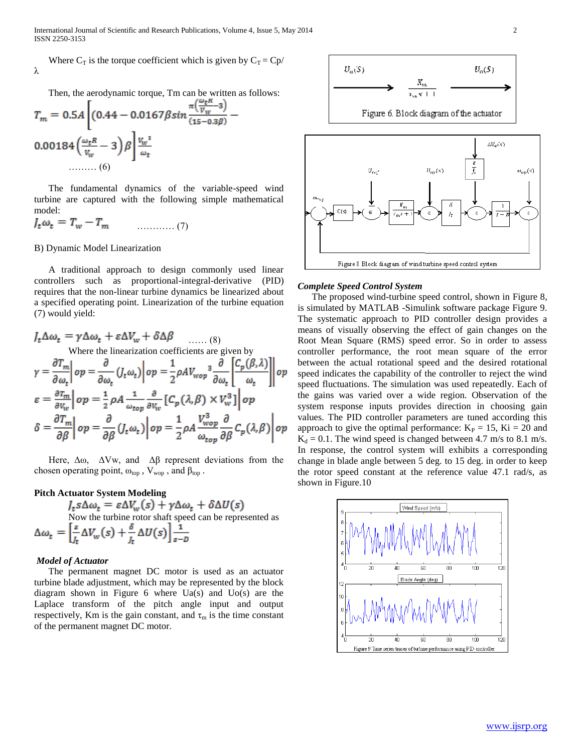International Journal of Scientific and Research Publications, Volume 4, Issue 5, May 2014 2 ISSN 2250-3153

Where  $C_T$  is the torque coefficient which is given by  $C_T = Cp/$ λ

Then, the aerodynamic torque, Tm can be written as follows:

$$
T_m = 0.5A \left[ (0.44 - 0.0167 \beta \sin \frac{\pi (\frac{v}{v_w} - 3)}{(15 - 0.3\beta)} \right]
$$
  
0.00184  $\left( \frac{\omega_t R}{v_w} - 3 \right) \beta \left| \frac{v_w^3}{\omega_t} \right|$   
........(6)

 The fundamental dynamics of the variable-speed wind turbine are captured with the following simple mathematical model:

$$
J_t \omega_t = T_w - T_m \tag{7}
$$

#### B) Dynamic Model Linearization

 A traditional approach to design commonly used linear controllers such as proportional-integral-derivative (PID) requires that the non-linear turbine dynamics be linearized about a specified operating point. Linearization of the turbine equation (7) would yield:

$$
J_t \Delta \omega_t = \gamma \Delta \omega_t + \varepsilon \Delta V_w + \delta \Delta \beta \qquad \qquad (8)
$$
  
Where the linearization coefficients are given by  

$$
\gamma = \frac{\partial T_m}{\partial \omega_t} \bigg| op = \frac{\partial}{\partial \omega_t} (J_t \omega_t) \bigg| op = \frac{1}{2} \rho A V_{wop}^3 \frac{\partial}{\partial \omega_t} \bigg[ \frac{C_p(\beta, \lambda)}{\omega_t} \bigg] \bigg| op
$$

$$
\varepsilon = \frac{\partial T_m}{\partial V_w} \bigg| op = \frac{1}{2} \rho A \frac{1}{\omega_{top}} \frac{\partial}{\partial V_w} \big[ C_p(\lambda, \beta) \times V_w^3 \big] \bigg| op
$$

$$
\delta = \frac{\partial T_m}{\partial \beta} \bigg| op = \frac{\partial}{\partial \beta} (J_t \omega_t) \bigg| op = \frac{1}{2} \rho A \frac{V_{wop}^3}{\omega_{top}} \frac{\partial}{\partial \beta} C_p(\lambda, \beta) \bigg| op
$$

Here,  $\Delta\omega$ ,  $\Delta V$ w, and  $\Delta\beta$  represent deviations from the chosen operating point,  $\omega_{top}$ ,  $V_{wop}$ , and  $\beta_{top}$ .

# **Pitch Actuator System Modeling**

 $I_t s \Delta \omega_t = \varepsilon \Delta V_w(s) + \gamma \Delta \omega_t + \delta \Delta U(s)$ <br>Now the turbine rotor shaft speed can be represented as<br> $\Delta \omega_t = \left[\frac{\varepsilon}{J_t} \Delta V_w(s) + \frac{\delta}{J_t} \Delta U(s)\right] \frac{1}{s-b}$ 

# *Model of Actuator*

 The permanent magnet DC motor is used as an actuator turbine blade adjustment, which may be represented by the block diagram shown in Figure 6 where  $Ua(s)$  and  $Uo(s)$  are the Laplace transform of the pitch angle input and output respectively, Km is the gain constant, and  $\tau_m$  is the time constant of the permanent magnet DC motor.





## *Complete Speed Control System*

 The proposed wind-turbine speed control, shown in Figure 8, is simulated by MATLAB -Simulink software package Figure 9. The systematic approach to PID controller design provides a means of visually observing the effect of gain changes on the Root Mean Square (RMS) speed error. So in order to assess controller performance, the root mean square of the error between the actual rotational speed and the desired rotational speed indicates the capability of the controller to reject the wind speed fluctuations. The simulation was used repeatedly. Each of the gains was varied over a wide region. Observation of the system response inputs provides direction in choosing gain values. The PID controller parameters are tuned according this approach to give the optimal performance:  $K<sub>P</sub> = 15$ ,  $Ki = 20$  and  $K_d = 0.1$ . The wind speed is changed between 4.7 m/s to 8.1 m/s. In response, the control system will exhibits a corresponding change in blade angle between 5 deg. to 15 deg. in order to keep the rotor speed constant at the reference value 47.1 rad/s, as shown in Figure.10